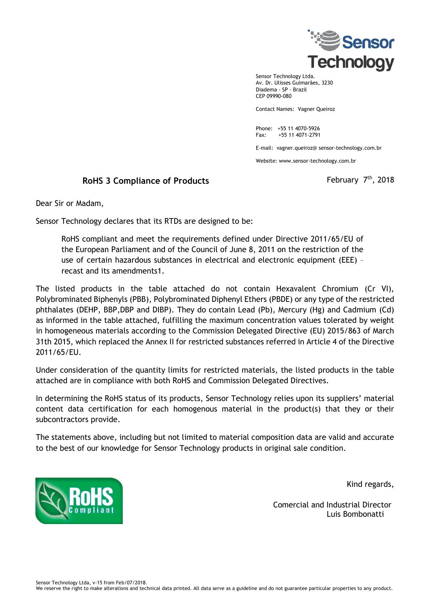

Sensor Technology Ltda. Av. Dr. Ulisses Guimarães, 3230 Diadema - SP - Brazil CEP 09990-080

Contact Names: Vagner Queiroz

Phone: +55 11 4070-5926 Fax: +55 11 4071-2791

E-mail: vagner.queiroz@ sensor-technology.com.br

Website: www.sensor-technology.com.br

## **RoHS 3 Compliance of Products**

 $^{\sf th}$ , 2018

Dear Sir or Madam,

Sensor Technology declares that its RTDs are designed to be:

RoHS compliant and meet the requirements defined under Directive 2011/65/EU of the European Parliament and of the Council of June 8, 2011 on the restriction of the use of certain hazardous substances in electrical and electronic equipment (EEE) – recast and its amendments1.

The listed products in the table attached do not contain Hexavalent Chromium (Cr VI), Polybrominated Biphenyls (PBB), Polybrominated Diphenyl Ethers (PBDE) or any type of the restricted phthalates (DEHP, BBP,DBP and DIBP). They do contain Lead (Pb), Mercury (Hg) and Cadmium (Cd) as informed in the table attached, fulfilling the maximum concentration values tolerated by weight in homogeneous materials according to the Commission Delegated Directive (EU) 2015/863 of March 31th 2015, which replaced the Annex II for restricted substances referred in Article 4 of the Directive 2011/65/EU.

Under consideration of the quantity limits for restricted materials, the listed products in the table attached are in compliance with both RoHS and Commission Delegated Directives.

In determining the RoHS status of its products, Sensor Technology relies upon its suppliers' material content data certification for each homogenous material in the product(s) that they or their subcontractors provide.

The statements above, including but not limited to material composition data are valid and accurate to the best of our knowledge for Sensor Technology products in original sale condition.



Kind regards,

 Comercial and Industrial Director Luis Bombonatti